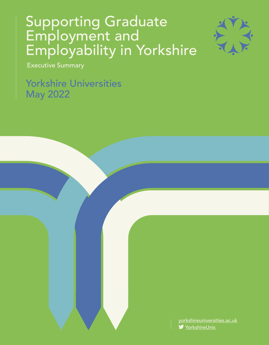### Supporting Graduate Employment and Employability in Yorkshire



Executive Summary

Yorkshire Universities May 2022

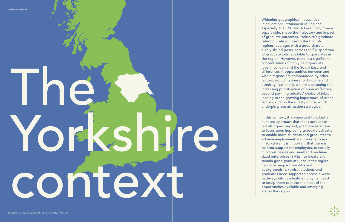Widening geographical inequalities in educational attainment in England, especially at GCSE and A Level, can, from a supply side, shape the trajectory and impact of graduate outcomes. Yorkshire's graduate retention rate is close to the English regions' average, with a good share of highly skilled posts, across the full spectrum of graduate jobs, available to graduates in the region. However, there is a significant concentration of highly paid graduate jobs in London and the South East, and differences in opportunities between and within regions are compounded by other factors, including household income and ethnicity. Nationally, we are also seeing the increasing prioritisation of broader factors, beyond pay, in graduates' choice of jobs, leading to the growing importance of other factors, such as the quality of life, which underpin place attraction strategies.

In this context, it is important to adopt a nuanced approach that takes account of, but also goes beyond, graduate retention to focus upon improving graduate utilisation to enable more students and graduates to achieve employment and career success in Yorkshire. It is important that there is tailored support for employers, especially microbusinesses and small and mediumsized enterprises (SMEs), to create and sustain good graduate jobs in the region for more people from different backgrounds. Likewise, students and graduates need support to access diverse pathways into graduate employment and to equip them to make the most of the opportunities available and emerging across the region.

# The Yorkshire context

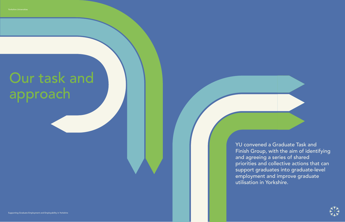YU convened a Graduate Task and Finish Group, with the aim of identifying and agreeing a series of shared priorities and collective actions that can support graduates into graduate-level employment and improve graduate utilisation in Yorkshire.

## Our task and approach



Supporting Graduate Employment and Employability in Yorkshire

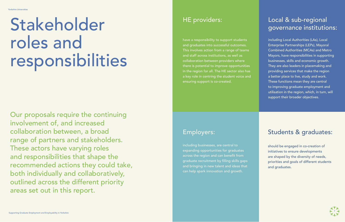## Stakeholder roles and responsibilities

Our proposals require the continuing involvement of, and increased collaboration between, a broad range of partners and stakeholders. These actors have varying roles and responsibilities that shape the recommended actions they could take, both individually and collaboratively, outlined across the different priority areas set out in this report.

#### HE providers:

#### Local & sub-regional governance institutions:

have a responsibility to support students and graduates into successful outcomes. This involves action from a range of teams and staff across institutions, as well as collaboration between providers where there is potential to improve opportunities in the region for all. The HE sector also has a key role in centring the student voice and ensuring support is co-created.

including businesses, are central to expanding opportunities for graduates across the region and can benefit from graduate recruitment by filling skills gaps and bringing in new talent and ideas that can help spark innovation and growth.

should be engaged in co-creation of initiatives to ensure developments are shaped by the diversity of needs, priorities and goals of different students and graduates.

including Local Authorities (LAs), Local Enterprise Partnerships (LEPs), Mayoral Combined Authorities (MCAs) and Metro Mayors, have responsibilities in supporting businesses, skills and economic growth. They are also leaders in placemaking and providing services that make the region a better place to live, study and work. These functions mean they are central to improving graduate employment and utilisation in the region, which, in turn, will support their broader objectives.

#### Employers: Students & graduates:

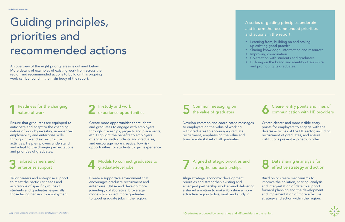## Guiding principles, priorities and recommended actions

An overview of the eight priority areas is outlined below. More details of examples of existing work from across the region and recommended actions to build on this ongoing work can be found in the main body of the report.

Ensure that graduates are equipped to anticipate and adapt to the changing nature of work by investing in enhanced employability and enterprise skills through intra and extra-curricular activities. Help employers understand and adapt to the changing expectations and priorities of graduates.

Tailor careers and enterprise support to meet the particular needs and aspirations of specific groups of students and graduates, especially those facing barriers to employment.

Develop common and coordinated messages to employers on the value of working with graduates to encourage graduate recruitment, emphasising the value and transferable skillset of all graduates.

Align strategic economic development priorities and strengthen existing and emergent partnership work around delivering a shared ambition to make Yorkshire a more attractive region to live, work and study in.

Readiness for the changing nature of work Readiness for the changing<br>
1 ature of work experience opportunities<br>
1 experience opportunities

Common messaging on the value of graduates **2** In-study and work **2** Common messaging on experience opportunities **2** Common messaging on the value of graduates

Models to connect graduates to graduate-level jobs 3 Tailored careers and Models to connect graduates to<br>
anterprise support<br> **Example 1** and a graduate-level jobs Models to connect graduates to all aligned strategic priorities and graduate-level jobs and strengthened partnerships

> Build on or create mechanisms to improve the collation, sharing, analysis and interpretation of data to support forward planning and the development and implementation of more effective strategy and action within the region.

- Learning from, building on and scaling up existing good practice.
- Sharing knowledge, information and resources. • Improving coordination.
- Co-creation with students and graduates.
- Building on the brand and identity of Yorkshire and promoting its graduates. $^1$

Create a supportive environment that encourages graduate recruitment and enterprise. Utilise and develop more joined-up, collaborative 'brokerage' models to connect more graduates to good graduate jobs in the region.

Create clearer and more visible entry points for employers to engage with the diverse activities of the HE sector, including recruitment of graduates, and ensure institutions present a joined-up offer.

Create more opportunities for students and graduates to engage with employers through internships, projects and placements, etc. Highlight the benefits to employers of engaging with students and graduates, and encourage more creative, low risk opportunities for students to gain experience.

Tailored careers and enterprise support

Aligned strategic priorities and strengthened partnerships

#### Data sharing & analysis for effective strategy and action



A series of guiding principles underpin and inform the recommended priorities and actions in the report:

- 
- 
- 

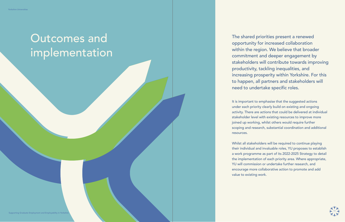The shared priorities present a renewed opportunity for increased collaboration within the region. We believe that broader commitment and deeper engagement by stakeholders will contribute towards improving productivity, tackling inequalities, and increasing prosperity within Yorkshire. For this to happen, all partners and stakeholders will need to undertake specific roles.

It is important to emphasise that the suggested actions under each priority clearly build on existing and ongoing activity. There are actions that could be delivered at individual stakeholder level with existing resources to improve more joined up working, whilst others would require further scoping and research, substantial coordination and additional resources.

Whilst all stakeholders will be required to continue playing their individual and invaluable roles, YU proposes to establish a work programme as part of its 2022-2025 Strategy to detail the implementation of each priority area. Where appropriate, YU will commission or undertake further research, and encourage more collaborative action to promote and add value to existing work.

Supporting Graduate Employment and Employability in Yorksh

## Outcomes and implementation

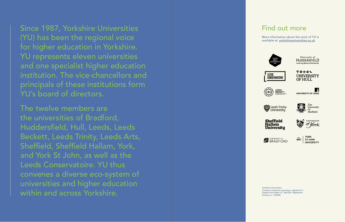Since 1987, Yorkshire Universities (YU) has been the regional voice for higher education in Yorkshire. YU represents eleven universities and one specialist higher education institution. The vice-chancellors and principals of these institutions form YU's board of directors.

The twelve members are the universities of Bradford, Huddersfield, Hull, Leeds, Leeds Beckett, Leeds Trinity, Leeds Arts, Sheffield, Sheffield Hallam, York, and York St John, as well as the Leeds Conservatoire. YU thus convenes a diverse eco-system of universities and higher education within and across Yorkshire.

More information about the work of YU is available at: [yorkshireuniversities.ac.uk](http://yorkshireuniversities.ac.uk)













University of HUDDERSFIELD nspiring global professionals







University Of<br>Sheffield





#### Find out more

Yorkshire Universities. Company limited by guarantee, registered in England and Wales no. 3467035. Registered Charity no. 1109200.